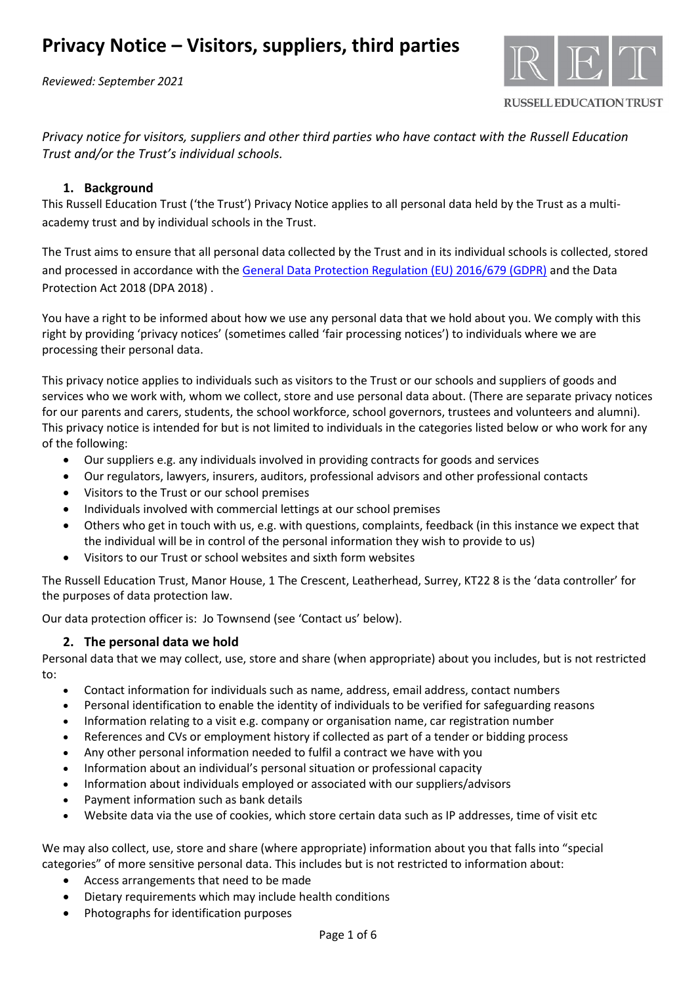*Reviewed: September 2021*



**RUSSELL EDUCATION TRUST** 

*Privacy notice for visitors, suppliers and other third parties who have contact with the Russell Education Trust and/or the Trust's individual schools.* 

# **1. Background**

This Russell Education Trust ('the Trust') Privacy Notice applies to all personal data held by the Trust as a multiacademy trust and by individual schools in the Trust.

The Trust aims to ensure that all personal data collected by the Trust and in its individual schools is collected, stored and processed in accordance with th[e General Data Protection Regulation \(EU\) 2016/679 \(GDPR\)](http://data.consilium.europa.eu/doc/document/ST-5419-2016-INIT/en/pdf) and the Data Protection Act 2018 (DPA 2018) .

You have a right to be informed about how we use any personal data that we hold about you. We comply with this right by providing 'privacy notices' (sometimes called 'fair processing notices') to individuals where we are processing their personal data.

This privacy notice applies to individuals such as visitors to the Trust or our schools and suppliers of goods and services who we work with, whom we collect, store and use personal data about. (There are separate privacy notices for our parents and carers, students, the school workforce, school governors, trustees and volunteers and alumni). This privacy notice is intended for but is not limited to individuals in the categories listed below or who work for any of the following:

- Our suppliers e.g. any individuals involved in providing contracts for goods and services
- Our regulators, lawyers, insurers, auditors, professional advisors and other professional contacts
- Visitors to the Trust or our school premises
- Individuals involved with commercial lettings at our school premises
- Others who get in touch with us, e.g. with questions, complaints, feedback (in this instance we expect that the individual will be in control of the personal information they wish to provide to us)
- Visitors to our Trust or school websites and sixth form websites

The Russell Education Trust, Manor House, 1 The Crescent, Leatherhead, Surrey, KT22 8 is the 'data controller' for the purposes of data protection law.

Our data protection officer is: Jo Townsend (see 'Contact us' below).

### **2. The personal data we hold**

Personal data that we may collect, use, store and share (when appropriate) about you includes, but is not restricted to:

- Contact information for individuals such as name, address, email address, contact numbers
- Personal identification to enable the identity of individuals to be verified for safeguarding reasons
- Information relating to a visit e.g. company or organisation name, car registration number
- References and CVs or employment history if collected as part of a tender or bidding process
- Any other personal information needed to fulfil a contract we have with you
- Information about an individual's personal situation or professional capacity
- Information about individuals employed or associated with our suppliers/advisors
- Payment information such as bank details
- Website data via the use of cookies, which store certain data such as IP addresses, time of visit etc

We may also collect, use, store and share (where appropriate) information about you that falls into "special categories" of more sensitive personal data. This includes but is not restricted to information about:

- Access arrangements that need to be made
- Dietary requirements which may include health conditions
- Photographs for identification purposes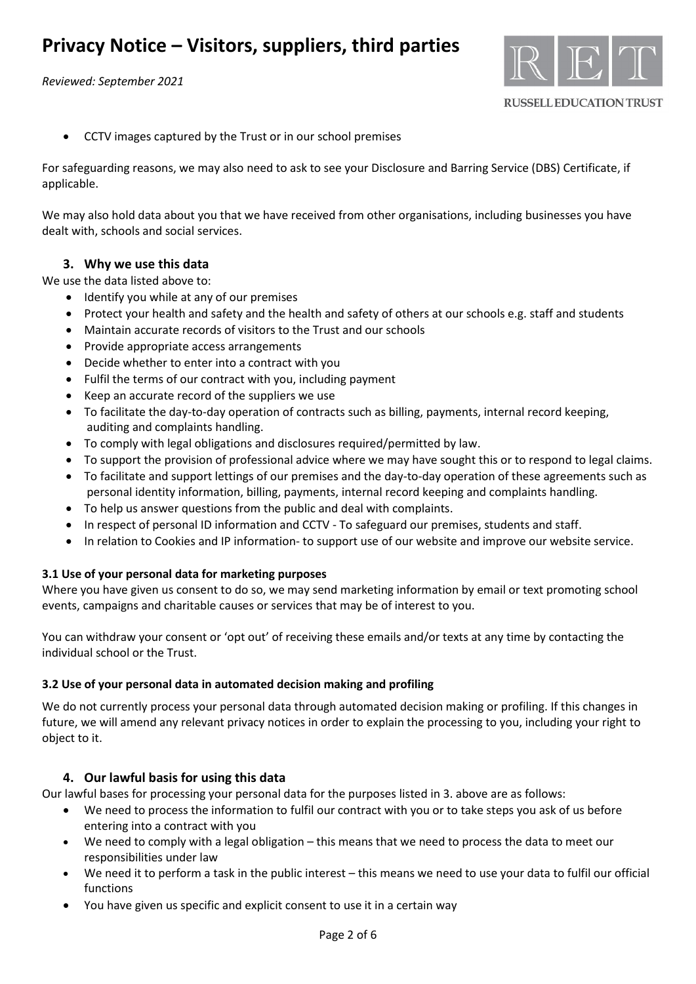*Reviewed: September 2021*



• CCTV images captured by the Trust or in our school premises

For safeguarding reasons, we may also need to ask to see your Disclosure and Barring Service (DBS) Certificate, if applicable.

We may also hold data about you that we have received from other organisations, including businesses you have dealt with, schools and social services.

## **3. Why we use this data**

We use the data listed above to:

- Identify you while at any of our premises
- Protect your health and safety and the health and safety of others at our schools e.g. staff and students
- Maintain accurate records of visitors to the Trust and our schools
- Provide appropriate access arrangements
- Decide whether to enter into a contract with you
- Fulfil the terms of our contract with you, including payment
- Keep an accurate record of the suppliers we use
- To facilitate the day-to-day operation of contracts such as billing, payments, internal record keeping, auditing and complaints handling.
- To comply with legal obligations and disclosures required/permitted by law.
- To support the provision of professional advice where we may have sought this or to respond to legal claims.
- To facilitate and support lettings of our premises and the day-to-day operation of these agreements such as personal identity information, billing, payments, internal record keeping and complaints handling.
- To help us answer questions from the public and deal with complaints.
- In respect of personal ID information and CCTV To safeguard our premises, students and staff.
- In relation to Cookies and IP information- to support use of our website and improve our website service.

### **3.1 Use of your personal data for marketing purposes**

Where you have given us consent to do so, we may send marketing information by email or text promoting school events, campaigns and charitable causes or services that may be of interest to you.

You can withdraw your consent or 'opt out' of receiving these emails and/or texts at any time by contacting the individual school or the Trust.

### **3.2 Use of your personal data in automated decision making and profiling**

We do not currently process your personal data through automated decision making or profiling. If this changes in future, we will amend any relevant privacy notices in order to explain the processing to you, including your right to object to it.

# **4. Our lawful basis for using this data**

Our lawful bases for processing your personal data for the purposes listed in 3. above are as follows:

- We need to process the information to fulfil our contract with you or to take steps you ask of us before entering into a contract with you
- We need to comply with a legal obligation this means that we need to process the data to meet our responsibilities under law
- We need it to perform a task in the public interest this means we need to use your data to fulfil our official functions
- You have given us specific and explicit consent to use it in a certain way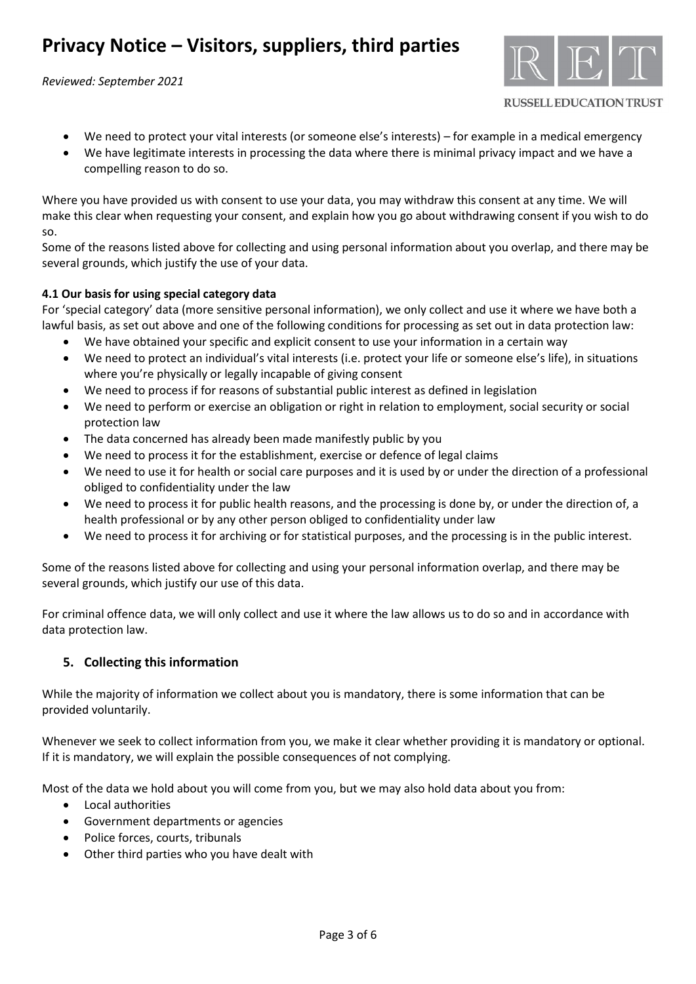*Reviewed: September 2021*



**RUSSELL EDUCATION TRUST** 

- We need to protect your vital interests (or someone else's interests) for example in a medical emergency
- We have legitimate interests in processing the data where there is minimal privacy impact and we have a compelling reason to do so.

Where you have provided us with consent to use your data, you may withdraw this consent at any time. We will make this clear when requesting your consent, and explain how you go about withdrawing consent if you wish to do so.

Some of the reasons listed above for collecting and using personal information about you overlap, and there may be several grounds, which justify the use of your data.

## **4.1 Our basis for using special category data**

For 'special category' data (more sensitive personal information), we only collect and use it where we have both a lawful basis, as set out above and one of the following conditions for processing as set out in data protection law:

- We have obtained your specific and explicit consent to use your information in a certain way
- We need to protect an individual's vital interests (i.e. protect your life or someone else's life), in situations where you're physically or legally incapable of giving consent
- We need to process if for reasons of substantial public interest as defined in legislation
- We need to perform or exercise an obligation or right in relation to employment, social security or social protection law
- The data concerned has already been made manifestly public by you
- We need to process it for the establishment, exercise or defence of legal claims
- We need to use it for health or social care purposes and it is used by or under the direction of a professional obliged to confidentiality under the law
- We need to process it for public health reasons, and the processing is done by, or under the direction of, a health professional or by any other person obliged to confidentiality under law
- We need to process it for archiving or for statistical purposes, and the processing is in the public interest.

Some of the reasons listed above for collecting and using your personal information overlap, and there may be several grounds, which justify our use of this data.

For criminal offence data, we will only collect and use it where the law allows us to do so and in accordance with data protection law.

# **5. Collecting this information**

While the majority of information we collect about you is mandatory, there is some information that can be provided voluntarily.

Whenever we seek to collect information from you, we make it clear whether providing it is mandatory or optional. If it is mandatory, we will explain the possible consequences of not complying.

Most of the data we hold about you will come from you, but we may also hold data about you from:

- Local authorities
- Government departments or agencies
- Police forces, courts, tribunals
- Other third parties who you have dealt with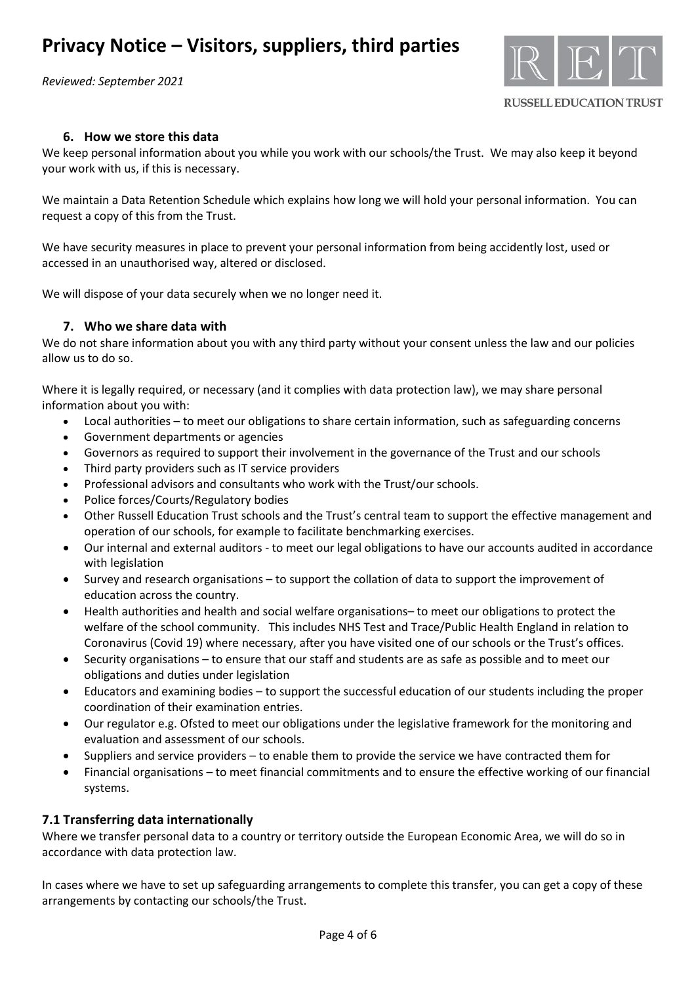*Reviewed: September 2021*



**RUSSELL EDUCATION TRUST** 

## **6. How we store this data**

We keep personal information about you while you work with our schools/the Trust. We may also keep it beyond your work with us, if this is necessary.

We maintain a Data Retention Schedule which explains how long we will hold your personal information. You can request a copy of this from the Trust.

We have security measures in place to prevent your personal information from being accidently lost, used or accessed in an unauthorised way, altered or disclosed.

We will dispose of your data securely when we no longer need it.

### **7. Who we share data with**

We do not share information about you with any third party without your consent unless the law and our policies allow us to do so.

Where it is legally required, or necessary (and it complies with data protection law), we may share personal information about you with:

- Local authorities to meet our obligations to share certain information, such as safeguarding concerns
- Government departments or agencies
- Governors as required to support their involvement in the governance of the Trust and our schools
- Third party providers such as IT service providers
- Professional advisors and consultants who work with the Trust/our schools.
- Police forces/Courts/Regulatory bodies
- Other Russell Education Trust schools and the Trust's central team to support the effective management and operation of our schools, for example to facilitate benchmarking exercises.
- Our internal and external auditors to meet our legal obligations to have our accounts audited in accordance with legislation
- Survey and research organisations to support the collation of data to support the improvement of education across the country.
- Health authorities and health and social welfare organisations– to meet our obligations to protect the welfare of the school community. This includes NHS Test and Trace/Public Health England in relation to Coronavirus (Covid 19) where necessary, after you have visited one of our schools or the Trust's offices.
- Security organisations to ensure that our staff and students are as safe as possible and to meet our obligations and duties under legislation
- Educators and examining bodies to support the successful education of our students including the proper coordination of their examination entries.
- Our regulator e.g. Ofsted to meet our obligations under the legislative framework for the monitoring and evaluation and assessment of our schools.
- Suppliers and service providers to enable them to provide the service we have contracted them for
- Financial organisations to meet financial commitments and to ensure the effective working of our financial systems.

### **7.1 Transferring data internationally**

Where we transfer personal data to a country or territory outside the European Economic Area, we will do so in accordance with data protection law.

In cases where we have to set up safeguarding arrangements to complete this transfer, you can get a copy of these arrangements by contacting our schools/the Trust.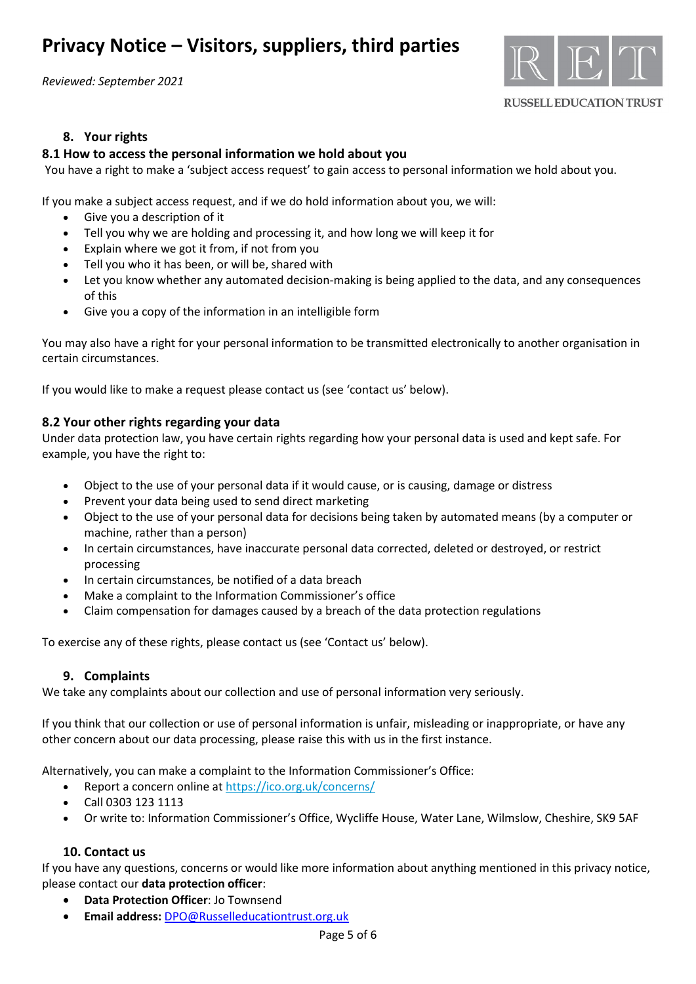*Reviewed: September 2021*



#### **RUSSELL EDUCATION TRUST**

## **8. Your rights**

### **8.1 How to access the personal information we hold about you**

You have a right to make a 'subject access request' to gain access to personal information we hold about you.

If you make a subject access request, and if we do hold information about you, we will:

- Give you a description of it
- Tell you why we are holding and processing it, and how long we will keep it for
- Explain where we got it from, if not from you
- Tell you who it has been, or will be, shared with
- Let you know whether any automated decision-making is being applied to the data, and any consequences of this
- Give you a copy of the information in an intelligible form

You may also have a right for your personal information to be transmitted electronically to another organisation in certain circumstances.

If you would like to make a request please contact us (see 'contact us' below).

### **8.2 Your other rights regarding your data**

Under data protection law, you have certain rights regarding how your personal data is used and kept safe. For example, you have the right to:

- Object to the use of your personal data if it would cause, or is causing, damage or distress
- Prevent your data being used to send direct marketing
- Object to the use of your personal data for decisions being taken by automated means (by a computer or machine, rather than a person)
- In certain circumstances, have inaccurate personal data corrected, deleted or destroyed, or restrict processing
- In certain circumstances, be notified of a data breach
- Make a complaint to the Information Commissioner's office
- Claim compensation for damages caused by a breach of the data protection regulations

To exercise any of these rights, please contact us (see 'Contact us' below).

### **9. Complaints**

We take any complaints about our collection and use of personal information very seriously.

If you think that our collection or use of personal information is unfair, misleading or inappropriate, or have any other concern about our data processing, please raise this with us in the first instance.

Alternatively, you can make a complaint to the Information Commissioner's Office:

- Report a concern online at<https://ico.org.uk/concerns/>
- Call 0303 123 1113
- Or write to: Information Commissioner's Office, Wycliffe House, Water Lane, Wilmslow, Cheshire, SK9 5AF

### **10. Contact us**

If you have any questions, concerns or would like more information about anything mentioned in this privacy notice, please contact our **data protection officer**:

- **Data Protection Officer**: Jo Townsend
- **Email address:** [DPO@Russelleducationtrust.org.uk](mailto:DPO@Russelleducationtrust.org.uk)